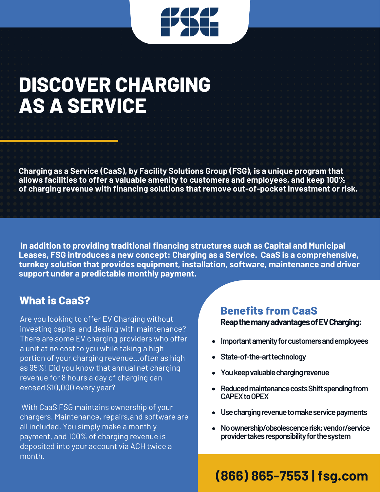

## **DISCOVER CHARGING AS A SERVICE**

**Charging as a Service (CaaS), by Facility Solutions Group (FSG), is a unique program that allows facilities to offer a valuable amenity to customers and employees, and keep 100% of charging revenue with financing solutions that remove out-of-pocket investment or risk.**

**In addition to providing traditional financing structures such as Capital and Municipal Leases, FSG introduces a new concept: Charging as a Service. CaaS is a comprehensive, turnkey solution that provides equipment, installation, software, maintenance and driver support under a predictable monthly payment.**

### **What is CaaS?**

Are you looking to offer EV Charging without investing capital and dealing with maintenance? There are some EV charging providers who offer a unit at no cost to you while taking a high portion of your charging revenue...often as high as 95%! Did you know that annual net charging revenue for 8 hours a day of charging can exceed \$10,000 every year?

With CaaS FSG maintains ownership of your chargers. Maintenance, repairs,and software are all included. You simply make a monthly payment, and 100% of charging revenue is deposited into your account via ACH twice a month.

### **ReapthemanyadvantagesofEVCharging: Benefits from CaaS**

- **Important amenity for customers and employees**
- State-of-the-art technology
- **Youkeepvaluablechargingrevenue**
- **•** Reduced maintenance costs Shift spending from CAPEX to OPEX
- **Usechargingrevenuetomakeservicepayments**
- **Noownership/obsolescencerisk;vendor/service providertakesresponsibilityforthesystem**

## **(866) 865-7553 | fsg.com**